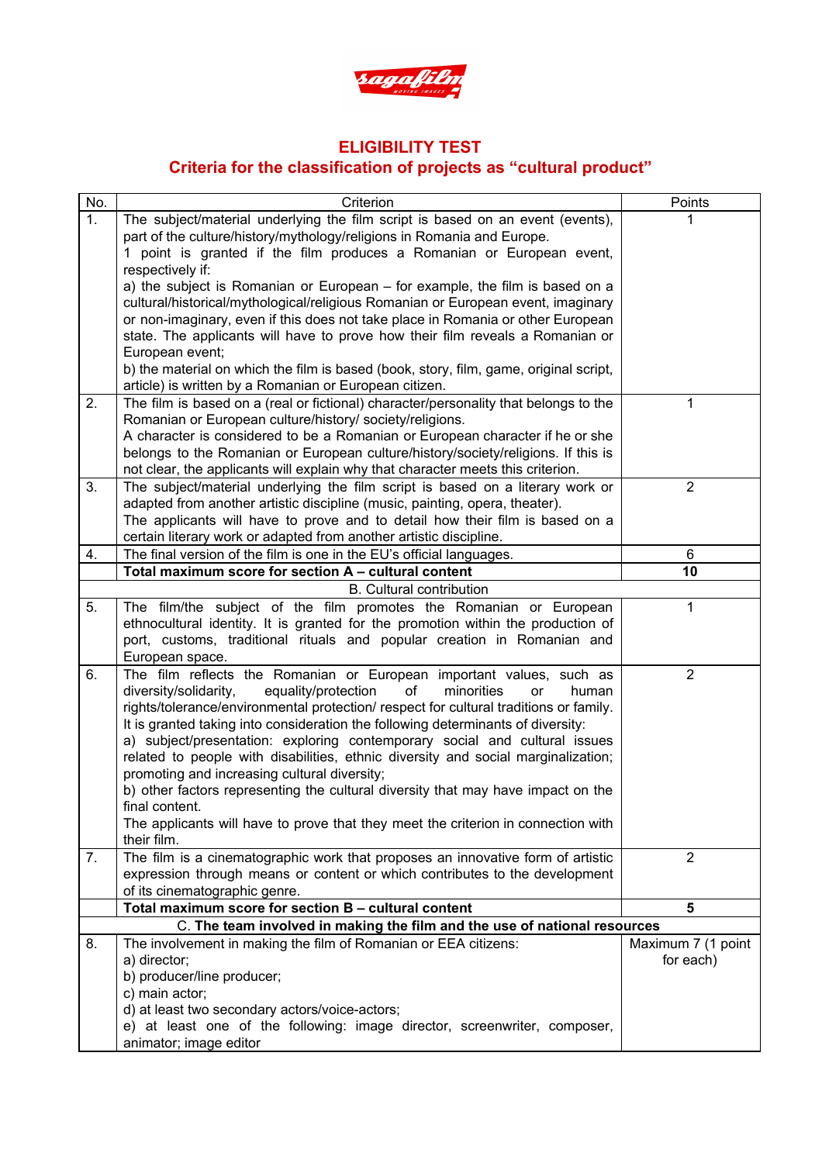

## **ELIGIBILITY TEST**

## **Criteria for the classification of projects as "cultural product"**

| No.                                                                       | Criterion                                                                                                                                               | Points             |  |
|---------------------------------------------------------------------------|---------------------------------------------------------------------------------------------------------------------------------------------------------|--------------------|--|
| 1.                                                                        | The subject/material underlying the film script is based on an event (events),                                                                          |                    |  |
|                                                                           | part of the culture/history/mythology/religions in Romania and Europe.                                                                                  |                    |  |
|                                                                           | 1 point is granted if the film produces a Romanian or European event,                                                                                   |                    |  |
|                                                                           | respectively if:                                                                                                                                        |                    |  |
|                                                                           | a) the subject is Romanian or European - for example, the film is based on a                                                                            |                    |  |
|                                                                           | cultural/historical/mythological/religious Romanian or European event, imaginary                                                                        |                    |  |
|                                                                           | or non-imaginary, even if this does not take place in Romania or other European                                                                         |                    |  |
|                                                                           | state. The applicants will have to prove how their film reveals a Romanian or                                                                           |                    |  |
|                                                                           | European event;                                                                                                                                         |                    |  |
|                                                                           | b) the material on which the film is based (book, story, film, game, original script,                                                                   |                    |  |
|                                                                           | article) is written by a Romanian or European citizen.                                                                                                  |                    |  |
| 2.                                                                        | The film is based on a (real or fictional) character/personality that belongs to the                                                                    | 1                  |  |
|                                                                           | Romanian or European culture/history/ society/religions.                                                                                                |                    |  |
|                                                                           | A character is considered to be a Romanian or European character if he or she                                                                           |                    |  |
|                                                                           | belongs to the Romanian or European culture/history/society/religions. If this is                                                                       |                    |  |
|                                                                           | not clear, the applicants will explain why that character meets this criterion.                                                                         |                    |  |
| 3.                                                                        | The subject/material underlying the film script is based on a literary work or                                                                          | $\overline{2}$     |  |
|                                                                           | adapted from another artistic discipline (music, painting, opera, theater).                                                                             |                    |  |
|                                                                           | The applicants will have to prove and to detail how their film is based on a                                                                            |                    |  |
|                                                                           | certain literary work or adapted from another artistic discipline.                                                                                      |                    |  |
| 4.                                                                        | The final version of the film is one in the EU's official languages.                                                                                    | 6                  |  |
|                                                                           | Total maximum score for section A - cultural content                                                                                                    | 10                 |  |
|                                                                           | <b>B.</b> Cultural contribution                                                                                                                         |                    |  |
| 5.                                                                        | The film/the subject of the film promotes the Romanian or European                                                                                      | 1                  |  |
|                                                                           | ethnocultural identity. It is granted for the promotion within the production of                                                                        |                    |  |
|                                                                           | port, customs, traditional rituals and popular creation in Romanian and                                                                                 |                    |  |
|                                                                           | European space.                                                                                                                                         |                    |  |
| 6.                                                                        | The film reflects the Romanian or European important values, such as<br>diversity/solidarity,<br>equality/protection<br>of<br>minorities<br>or<br>human | $\overline{2}$     |  |
|                                                                           | rights/tolerance/environmental protection/ respect for cultural traditions or family.                                                                   |                    |  |
|                                                                           | It is granted taking into consideration the following determinants of diversity:                                                                        |                    |  |
|                                                                           | a) subject/presentation: exploring contemporary social and cultural issues                                                                              |                    |  |
|                                                                           | related to people with disabilities, ethnic diversity and social marginalization;                                                                       |                    |  |
|                                                                           | promoting and increasing cultural diversity;                                                                                                            |                    |  |
|                                                                           | b) other factors representing the cultural diversity that may have impact on the                                                                        |                    |  |
|                                                                           | final content.                                                                                                                                          |                    |  |
|                                                                           | The applicants will have to prove that they meet the criterion in connection with                                                                       |                    |  |
|                                                                           | their film.                                                                                                                                             |                    |  |
| 7.                                                                        | The film is a cinematographic work that proposes an innovative form of artistic                                                                         | $\overline{2}$     |  |
|                                                                           | expression through means or content or which contributes to the development                                                                             |                    |  |
|                                                                           | of its cinematographic genre.                                                                                                                           |                    |  |
|                                                                           | Total maximum score for section B - cultural content                                                                                                    | 5                  |  |
| C. The team involved in making the film and the use of national resources |                                                                                                                                                         |                    |  |
| 8.                                                                        | The involvement in making the film of Romanian or EEA citizens:                                                                                         | Maximum 7 (1 point |  |
|                                                                           | a) director;                                                                                                                                            | for each)          |  |
|                                                                           | b) producer/line producer;                                                                                                                              |                    |  |
|                                                                           | c) main actor;                                                                                                                                          |                    |  |
|                                                                           | d) at least two secondary actors/voice-actors;                                                                                                          |                    |  |
|                                                                           | e) at least one of the following: image director, screenwriter, composer,                                                                               |                    |  |
|                                                                           | animator; image editor                                                                                                                                  |                    |  |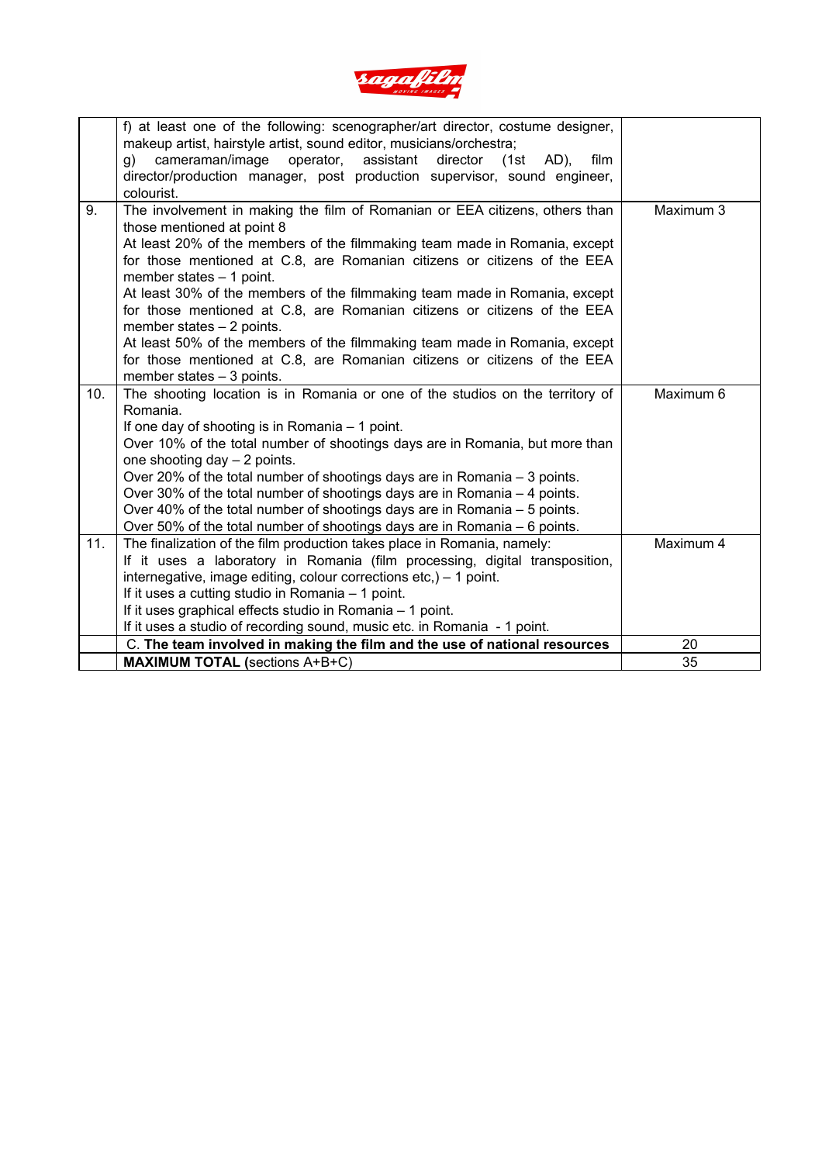

|     | f) at least one of the following: scenographer/art director, costume designer,<br>makeup artist, hairstyle artist, sound editor, musicians/orchestra;<br>cameraman/image<br>operator,<br>assistant<br>director<br>film<br>g)<br>(1st<br>AD),<br>director/production manager, post production supervisor, sound engineer,<br>colourist.                                                                                                                                                                                                                                                                                                                                          |           |
|-----|---------------------------------------------------------------------------------------------------------------------------------------------------------------------------------------------------------------------------------------------------------------------------------------------------------------------------------------------------------------------------------------------------------------------------------------------------------------------------------------------------------------------------------------------------------------------------------------------------------------------------------------------------------------------------------|-----------|
| 9.  | The involvement in making the film of Romanian or EEA citizens, others than<br>those mentioned at point 8<br>At least 20% of the members of the filmmaking team made in Romania, except<br>for those mentioned at C.8, are Romanian citizens or citizens of the EEA<br>member states - 1 point.<br>At least 30% of the members of the filmmaking team made in Romania, except<br>for those mentioned at C.8, are Romanian citizens or citizens of the EEA<br>member states $-2$ points.<br>At least 50% of the members of the filmmaking team made in Romania, except<br>for those mentioned at C.8, are Romanian citizens or citizens of the EEA<br>member states $-3$ points. | Maximum 3 |
| 10. | The shooting location is in Romania or one of the studios on the territory of<br>Romania.<br>If one day of shooting is in Romania - 1 point.<br>Over 10% of the total number of shootings days are in Romania, but more than<br>one shooting day $-2$ points.<br>Over 20% of the total number of shootings days are in Romania - 3 points.<br>Over 30% of the total number of shootings days are in Romania - 4 points.<br>Over 40% of the total number of shootings days are in Romania - 5 points.<br>Over 50% of the total number of shootings days are in Romania – 6 points.                                                                                               | Maximum 6 |
| 11. | The finalization of the film production takes place in Romania, namely:<br>If it uses a laboratory in Romania (film processing, digital transposition,<br>internegative, image editing, colour corrections $etc$ ,) – 1 point.<br>If it uses a cutting studio in Romania - 1 point.<br>If it uses graphical effects studio in Romania - 1 point.<br>If it uses a studio of recording sound, music etc. in Romania - 1 point.                                                                                                                                                                                                                                                    | Maximum 4 |
|     | C. The team involved in making the film and the use of national resources                                                                                                                                                                                                                                                                                                                                                                                                                                                                                                                                                                                                       | 20        |
|     | <b>MAXIMUM TOTAL (sections A+B+C)</b>                                                                                                                                                                                                                                                                                                                                                                                                                                                                                                                                                                                                                                           | 35        |